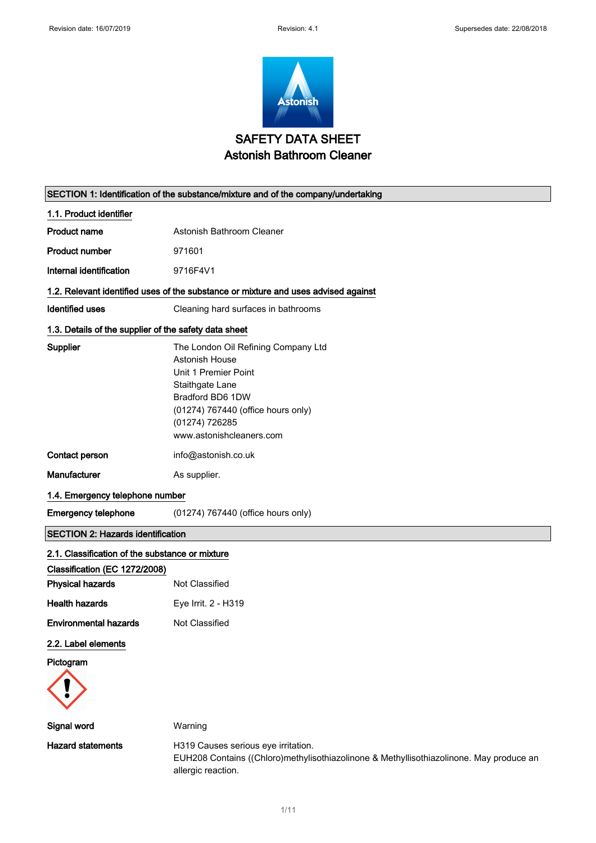Г



| SECTION 1: Identification of the substance/mixture and of the company/undertaking |                                                                                                                                                                                                          |  |
|-----------------------------------------------------------------------------------|----------------------------------------------------------------------------------------------------------------------------------------------------------------------------------------------------------|--|
| 1.1. Product identifier                                                           |                                                                                                                                                                                                          |  |
| <b>Product name</b>                                                               | Astonish Bathroom Cleaner                                                                                                                                                                                |  |
| <b>Product number</b>                                                             | 971601                                                                                                                                                                                                   |  |
| Internal identification                                                           | 9716F4V1                                                                                                                                                                                                 |  |
|                                                                                   | 1.2. Relevant identified uses of the substance or mixture and uses advised against                                                                                                                       |  |
| <b>Identified uses</b>                                                            | Cleaning hard surfaces in bathrooms                                                                                                                                                                      |  |
| 1.3. Details of the supplier of the safety data sheet                             |                                                                                                                                                                                                          |  |
| <b>Supplier</b>                                                                   | The London Oil Refining Company Ltd<br>Astonish House<br>Unit 1 Premier Point<br>Staithgate Lane<br>Bradford BD6 1DW<br>(01274) 767440 (office hours only)<br>(01274) 726285<br>www.astonishcleaners.com |  |
| Contact person                                                                    | info@astonish.co.uk                                                                                                                                                                                      |  |
| Manufacturer                                                                      | As supplier.                                                                                                                                                                                             |  |
| 1.4. Emergency telephone number                                                   |                                                                                                                                                                                                          |  |
| <b>Emergency telephone</b>                                                        | (01274) 767440 (office hours only)                                                                                                                                                                       |  |
| <b>SECTION 2: Hazards identification</b>                                          |                                                                                                                                                                                                          |  |
| 2.1. Classification of the substance or mixture                                   |                                                                                                                                                                                                          |  |
| Classification (EC 1272/2008)                                                     |                                                                                                                                                                                                          |  |
| <b>Physical hazards</b>                                                           | Not Classified                                                                                                                                                                                           |  |
| <b>Health hazards</b>                                                             | Eye Irrit. 2 - H319                                                                                                                                                                                      |  |
| <b>Environmental hazards</b>                                                      | Not Classified                                                                                                                                                                                           |  |
| 2.2. Label elements                                                               |                                                                                                                                                                                                          |  |
| Pictogram                                                                         |                                                                                                                                                                                                          |  |
|                                                                                   |                                                                                                                                                                                                          |  |
| Signal word                                                                       | Warning                                                                                                                                                                                                  |  |
| <b>Hazard statements</b>                                                          | H319 Causes serious eye irritation.<br>EUH208 Contains ((Chloro)methylisothiazolinone & Methyllisothiazolinone. May produce an<br>allergic reaction.                                                     |  |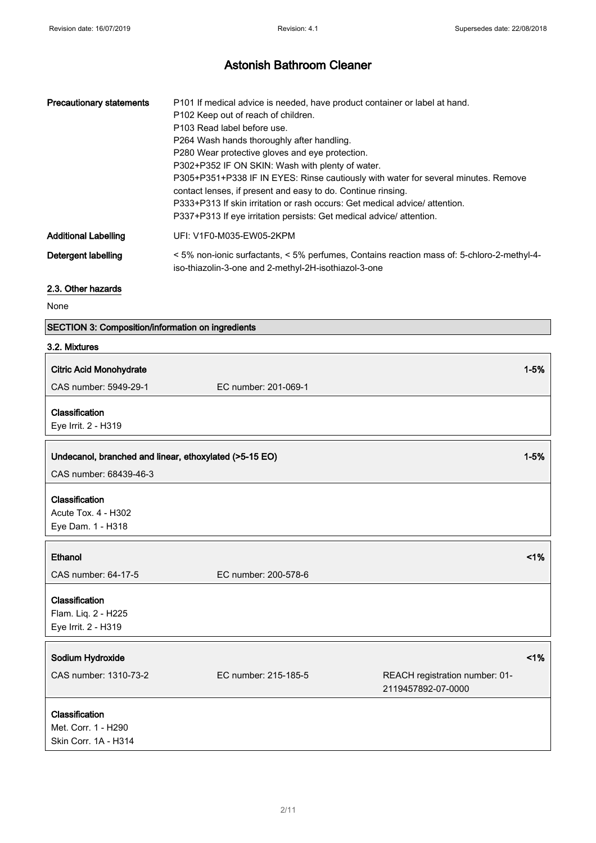| <b>Precautionary statements</b> | P101 If medical advice is needed, have product container or label at hand.                                                                       |
|---------------------------------|--------------------------------------------------------------------------------------------------------------------------------------------------|
|                                 | P102 Keep out of reach of children.                                                                                                              |
|                                 | P103 Read label before use.                                                                                                                      |
|                                 | P264 Wash hands thoroughly after handling.                                                                                                       |
|                                 | P280 Wear protective gloves and eye protection.                                                                                                  |
|                                 | P302+P352 IF ON SKIN: Wash with plenty of water.                                                                                                 |
|                                 | P305+P351+P338 IF IN EYES: Rinse cautiously with water for several minutes. Remove                                                               |
|                                 | contact lenses, if present and easy to do. Continue rinsing.                                                                                     |
|                                 | P333+P313 If skin irritation or rash occurs: Get medical advice/ attention.                                                                      |
|                                 | P337+P313 If eye irritation persists: Get medical advice/attention.                                                                              |
| <b>Additional Labelling</b>     | UFI: V1F0-M035-EW05-2KPM                                                                                                                         |
| Detergent labelling             | <5% non-ionic surfactants, <5% perfumes, Contains reaction mass of: 5-chloro-2-methyl-4-<br>iso-thiazolin-3-one and 2-methyl-2H-isothiazol-3-one |

## 2.3. Other hazards

None

## SECTION 3: Composition/information on ingredients

## 3.2. Mixtures

| <b>Citric Acid Monohydrate</b>                                |                      |                                                      | $1 - 5%$ |
|---------------------------------------------------------------|----------------------|------------------------------------------------------|----------|
| CAS number: 5949-29-1                                         | EC number: 201-069-1 |                                                      |          |
| Classification<br>Eye Irrit. 2 - H319                         |                      |                                                      |          |
| Undecanol, branched and linear, ethoxylated (>5-15 EO)        |                      |                                                      | $1 - 5%$ |
| CAS number: 68439-46-3                                        |                      |                                                      |          |
| Classification<br>Acute Tox. 4 - H302<br>Eye Dam. 1 - H318    |                      |                                                      |          |
| Ethanol                                                       |                      |                                                      | 1%       |
| CAS number: 64-17-5                                           | EC number: 200-578-6 |                                                      |          |
| Classification<br>Flam. Liq. 2 - H225<br>Eye Irrit. 2 - H319  |                      |                                                      |          |
| Sodium Hydroxide                                              |                      |                                                      | 1%       |
| CAS number: 1310-73-2                                         | EC number: 215-185-5 | REACH registration number: 01-<br>2119457892-07-0000 |          |
| Classification<br>Met. Corr. 1 - H290<br>Skin Corr. 1A - H314 |                      |                                                      |          |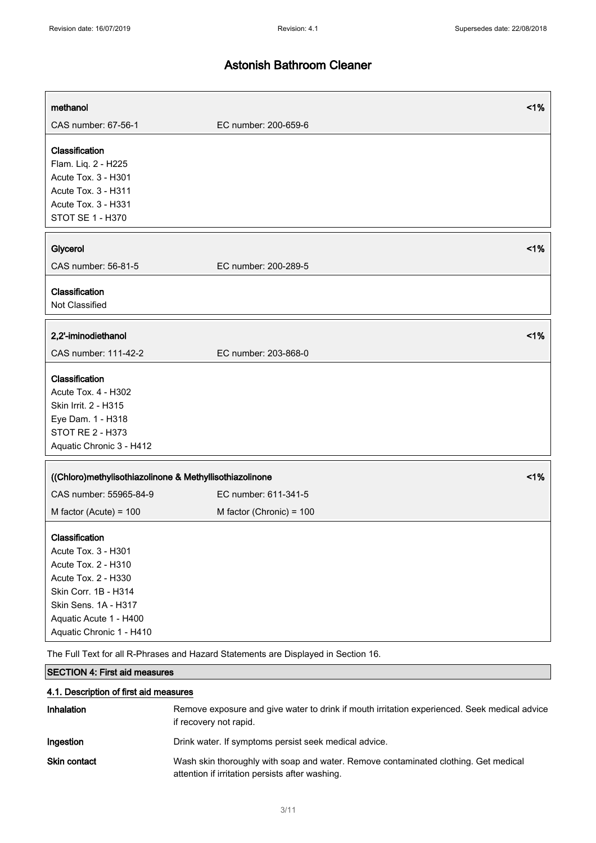| methanol                                                                                                                                                                                  |                                                                                    | 1% |
|-------------------------------------------------------------------------------------------------------------------------------------------------------------------------------------------|------------------------------------------------------------------------------------|----|
| CAS number: 67-56-1                                                                                                                                                                       | EC number: 200-659-6                                                               |    |
| Classification<br>Flam. Liq. 2 - H225<br>Acute Tox. 3 - H301<br>Acute Tox. 3 - H311<br>Acute Tox. 3 - H331<br>STOT SE 1 - H370                                                            |                                                                                    |    |
| Glycerol                                                                                                                                                                                  |                                                                                    | 1% |
| CAS number: 56-81-5                                                                                                                                                                       | EC number: 200-289-5                                                               |    |
| Classification<br>Not Classified                                                                                                                                                          |                                                                                    |    |
| 2,2'-iminodiethanol                                                                                                                                                                       |                                                                                    | 1% |
| CAS number: 111-42-2                                                                                                                                                                      | EC number: 203-868-0                                                               |    |
| Classification<br>Acute Tox. 4 - H302<br>Skin Irrit. 2 - H315<br>Eye Dam. 1 - H318<br><b>STOT RE 2 - H373</b><br>Aquatic Chronic 3 - H412                                                 |                                                                                    |    |
| ((Chloro)methylisothiazolinone & Methyllisothiazolinone                                                                                                                                   |                                                                                    | 1% |
| CAS number: 55965-84-9                                                                                                                                                                    | EC number: 611-341-5                                                               |    |
| M factor (Acute) = $100$                                                                                                                                                                  | M factor (Chronic) = 100                                                           |    |
| Classification<br>Acute Tox. 3 - H301<br>Acute Tox. 2 - H310<br>Acute Tox. 2 - H330<br>Skin Corr. 1B - H314<br>Skin Sens. 1A - H317<br>Aquatic Acute 1 - H400<br>Aquatic Chronic 1 - H410 | The Full Text for all R-Phrases and Hazard Statements are Displayed in Section 16. |    |

## SECTION 4: First aid measures

## 4.1. Description of first aid measures

| <b>Inhalation</b>   | Remove exposure and give water to drink if mouth irritation experienced. Seek medical advice<br>if recovery not rapid.                 |
|---------------------|----------------------------------------------------------------------------------------------------------------------------------------|
| Ingestion           | Drink water. If symptoms persist seek medical advice.                                                                                  |
| <b>Skin contact</b> | Wash skin thoroughly with soap and water. Remove contaminated clothing. Get medical<br>attention if irritation persists after washing. |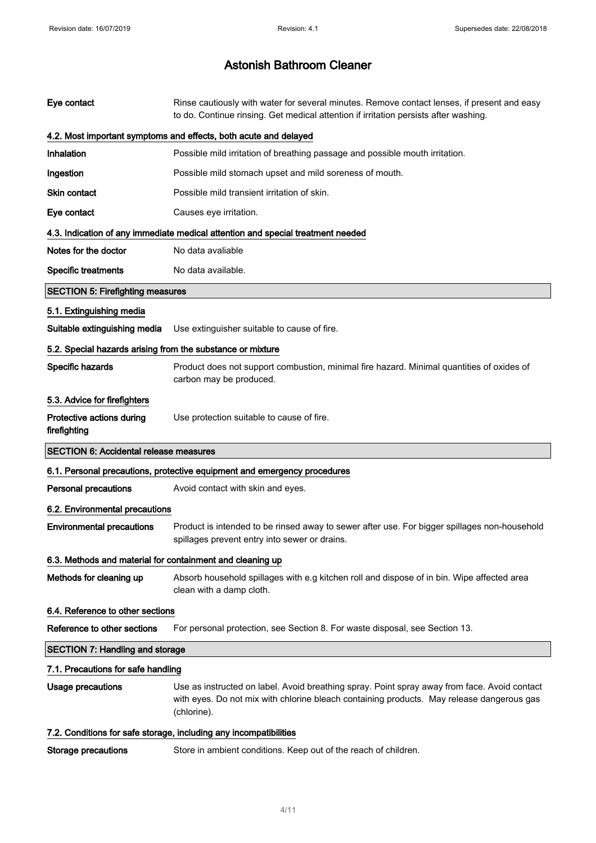| Eye contact                                                | Rinse cautiously with water for several minutes. Remove contact lenses, if present and easy<br>to do. Continue rinsing. Get medical attention if irritation persists after washing.                      |
|------------------------------------------------------------|----------------------------------------------------------------------------------------------------------------------------------------------------------------------------------------------------------|
|                                                            | 4.2. Most important symptoms and effects, both acute and delayed                                                                                                                                         |
| Inhalation                                                 | Possible mild irritation of breathing passage and possible mouth irritation.                                                                                                                             |
| Ingestion                                                  | Possible mild stomach upset and mild soreness of mouth.                                                                                                                                                  |
| Skin contact                                               | Possible mild transient irritation of skin.                                                                                                                                                              |
| Eye contact                                                | Causes eye irritation.                                                                                                                                                                                   |
|                                                            | 4.3. Indication of any immediate medical attention and special treatment needed                                                                                                                          |
| Notes for the doctor                                       | No data avaliable                                                                                                                                                                                        |
| <b>Specific treatments</b>                                 | No data available.                                                                                                                                                                                       |
| <b>SECTION 5: Firefighting measures</b>                    |                                                                                                                                                                                                          |
| 5.1. Extinguishing media                                   |                                                                                                                                                                                                          |
| Suitable extinguishing media                               | Use extinguisher suitable to cause of fire.                                                                                                                                                              |
| 5.2. Special hazards arising from the substance or mixture |                                                                                                                                                                                                          |
| Specific hazards                                           | Product does not support combustion, minimal fire hazard. Minimal quantities of oxides of<br>carbon may be produced.                                                                                     |
| 5.3. Advice for firefighters                               |                                                                                                                                                                                                          |
| Protective actions during<br>firefighting                  | Use protection suitable to cause of fire.                                                                                                                                                                |
| <b>SECTION 6: Accidental release measures</b>              |                                                                                                                                                                                                          |
|                                                            | 6.1. Personal precautions, protective equipment and emergency procedures                                                                                                                                 |
| <b>Personal precautions</b>                                | Avoid contact with skin and eyes.                                                                                                                                                                        |
| 6.2. Environmental precautions                             |                                                                                                                                                                                                          |
| <b>Environmental precautions</b>                           | Product is intended to be rinsed away to sewer after use. For bigger spillages non-household                                                                                                             |
|                                                            | spillages prevent entry into sewer or drains.                                                                                                                                                            |
| 6.3. Methods and material for containment and cleaning up  |                                                                                                                                                                                                          |
| Methods for cleaning up                                    | Absorb household spillages with e.g kitchen roll and dispose of in bin. Wipe affected area<br>clean with a damp cloth.                                                                                   |
| 6.4. Reference to other sections                           |                                                                                                                                                                                                          |
| Reference to other sections                                | For personal protection, see Section 8. For waste disposal, see Section 13.                                                                                                                              |
| <b>SECTION 7: Handling and storage</b>                     |                                                                                                                                                                                                          |
| 7.1. Precautions for safe handling                         |                                                                                                                                                                                                          |
| <b>Usage precautions</b>                                   | Use as instructed on label. Avoid breathing spray. Point spray away from face. Avoid contact<br>with eyes. Do not mix with chlorine bleach containing products. May release dangerous gas<br>(chlorine). |
|                                                            | 7.2. Conditions for safe storage, including any incompatibilities                                                                                                                                        |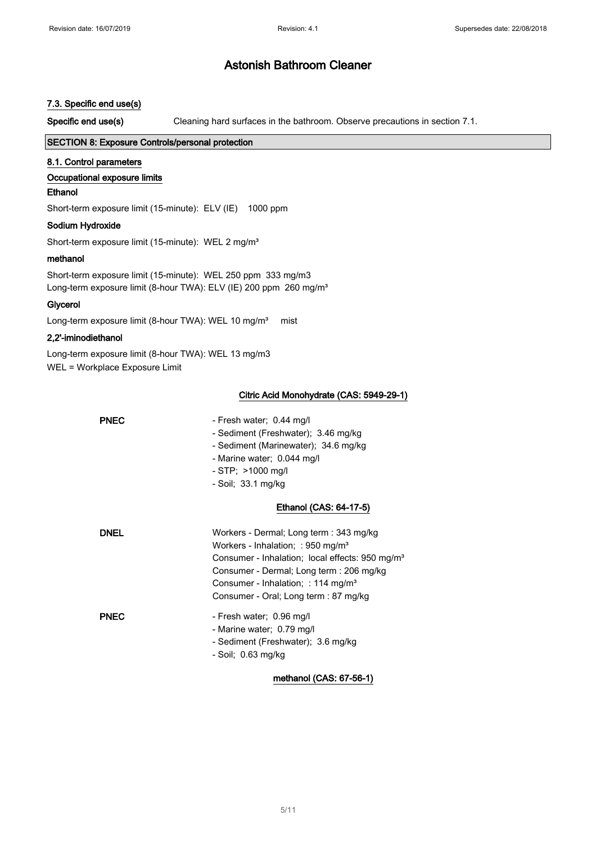## 7.3. Specific end use(s)

Specific end use(s) Cleaning hard surfaces in the bathroom. Observe precautions in section 7.1.

## SECTION 8: Exposure Controls/personal protection

## 8.1. Control parameters

## Occupational exposure limits

## Ethanol

Short-term exposure limit (15-minute): ELV (IE) 1000 ppm

## Sodium Hydroxide

Short-term exposure limit (15-minute): WEL 2 mg/m<sup>3</sup>

## methanol

Short-term exposure limit (15-minute): WEL 250 ppm 333 mg/m3 Long-term exposure limit (8-hour TWA): ELV (IE) 200 ppm 260 mg/m<sup>3</sup>

## Glycerol

Long-term exposure limit (8-hour TWA): WEL 10 mg/m<sup>3</sup> mist

## 2,2'-iminodiethanol

Long-term exposure limit (8-hour TWA): WEL 13 mg/m3 WEL = Workplace Exposure Limit

## Citric Acid Monohydrate (CAS: 5949-29-1)

| <b>PNEC</b> | - Fresh water; 0.44 mg/l<br>- Sediment (Freshwater); 3.46 mg/kg<br>- Sediment (Marinewater); 34.6 mg/kg<br>- Marine water; 0.044 mg/l<br>$-$ STP; $>$ 1000 mg/l<br>- Soil; 33.1 mg/kg                                                                                                          |
|-------------|------------------------------------------------------------------------------------------------------------------------------------------------------------------------------------------------------------------------------------------------------------------------------------------------|
|             | Ethanol (CAS: 64-17-5)                                                                                                                                                                                                                                                                         |
| <b>DNEL</b> | Workers - Dermal; Long term : 343 mg/kg<br>Workers - Inhalation; : 950 mg/m <sup>3</sup><br>Consumer - Inhalation; local effects: 950 mg/m <sup>3</sup><br>Consumer - Dermal; Long term : 206 mg/kg<br>Consumer - Inhalation; : 114 mg/m <sup>3</sup><br>Consumer - Oral; Long term : 87 mg/kg |
| <b>PNEC</b> | - Fresh water; 0.96 mg/l<br>- Marine water; 0.79 mg/l<br>- Sediment (Freshwater); 3.6 mg/kg<br>- Soil; $0.63$ mg/kg                                                                                                                                                                            |

methanol (CAS: 67-56-1)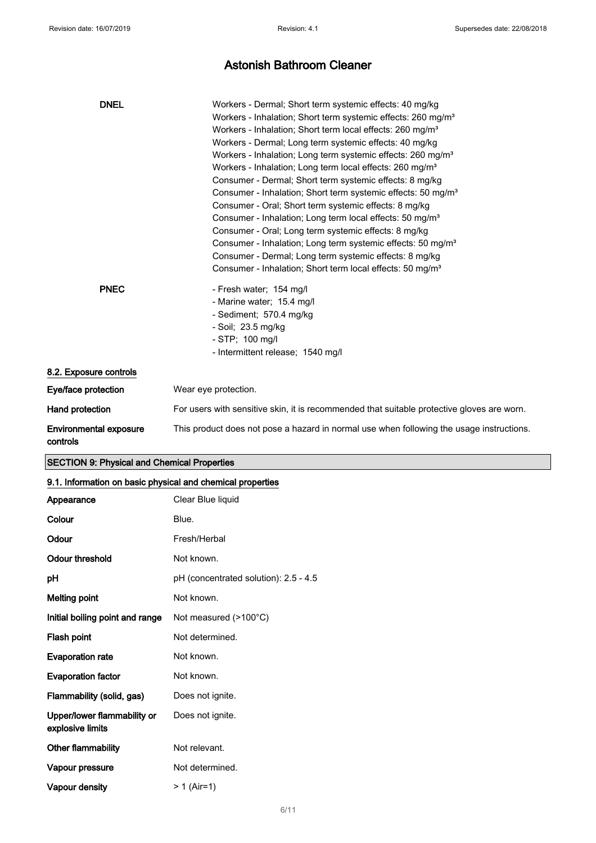| <b>DNEL</b>                        | Workers - Dermal; Short term systemic effects: 40 mg/kg<br>Workers - Inhalation; Short term systemic effects: 260 mg/m <sup>3</sup><br>Workers - Inhalation; Short term local effects: 260 mg/m <sup>3</sup><br>Workers - Dermal; Long term systemic effects: 40 mg/kg<br>Workers - Inhalation; Long term systemic effects: 260 mg/m <sup>3</sup><br>Workers - Inhalation; Long term local effects: 260 mg/m <sup>3</sup><br>Consumer - Dermal; Short term systemic effects: 8 mg/kg<br>Consumer - Inhalation; Short term systemic effects: 50 mg/m <sup>3</sup><br>Consumer - Oral; Short term systemic effects: 8 mg/kg<br>Consumer - Inhalation; Long term local effects: 50 mg/m <sup>3</sup><br>Consumer - Oral; Long term systemic effects: 8 mg/kg<br>Consumer - Inhalation; Long term systemic effects: 50 mg/m <sup>3</sup><br>Consumer - Dermal; Long term systemic effects: 8 mg/kg |
|------------------------------------|------------------------------------------------------------------------------------------------------------------------------------------------------------------------------------------------------------------------------------------------------------------------------------------------------------------------------------------------------------------------------------------------------------------------------------------------------------------------------------------------------------------------------------------------------------------------------------------------------------------------------------------------------------------------------------------------------------------------------------------------------------------------------------------------------------------------------------------------------------------------------------------------|
|                                    | Consumer - Inhalation; Short term local effects: 50 mg/m <sup>3</sup>                                                                                                                                                                                                                                                                                                                                                                                                                                                                                                                                                                                                                                                                                                                                                                                                                          |
| <b>PNEC</b>                        | - Fresh water; 154 mg/l<br>- Marine water; 15.4 mg/l<br>- Sediment; 570.4 mg/kg<br>- Soil; 23.5 mg/kg<br>- STP; 100 mg/l<br>- Intermittent release; 1540 mg/l                                                                                                                                                                                                                                                                                                                                                                                                                                                                                                                                                                                                                                                                                                                                  |
| 8.2. Exposure controls             |                                                                                                                                                                                                                                                                                                                                                                                                                                                                                                                                                                                                                                                                                                                                                                                                                                                                                                |
| Eye/face protection                | Wear eye protection.                                                                                                                                                                                                                                                                                                                                                                                                                                                                                                                                                                                                                                                                                                                                                                                                                                                                           |
| Hand protection                    | For users with sensitive skin, it is recommended that suitable protective gloves are worn.                                                                                                                                                                                                                                                                                                                                                                                                                                                                                                                                                                                                                                                                                                                                                                                                     |
| Environmental exposure<br>controls | This product does not pose a hazard in normal use when following the usage instructions.                                                                                                                                                                                                                                                                                                                                                                                                                                                                                                                                                                                                                                                                                                                                                                                                       |

## SECTION 9: Physical and Chemical Properties

## 9.1. Information on basic physical and chemical properties

| Appearance                                      | Clear Blue liquid                     |
|-------------------------------------------------|---------------------------------------|
| Colour                                          | Blue.                                 |
| Odour                                           | Fresh/Herbal                          |
| Odour threshold                                 | Not known.                            |
| рH                                              | pH (concentrated solution): 2.5 - 4.5 |
| <b>Melting point</b>                            | Not known.                            |
| Initial boiling point and range                 | Not measured (>100°C)                 |
| Flash point                                     | Not determined.                       |
| <b>Evaporation rate</b>                         | Not known.                            |
| <b>Evaporation factor</b>                       | Not known.                            |
| Flammability (solid, gas)                       | Does not ignite.                      |
| Upper/lower flammability or<br>explosive limits | Does not ignite.                      |
| <b>Other flammability</b>                       | Not relevant.                         |
| Vapour pressure                                 | Not determined.                       |
| Vapour density                                  | > 1 (Air=1)                           |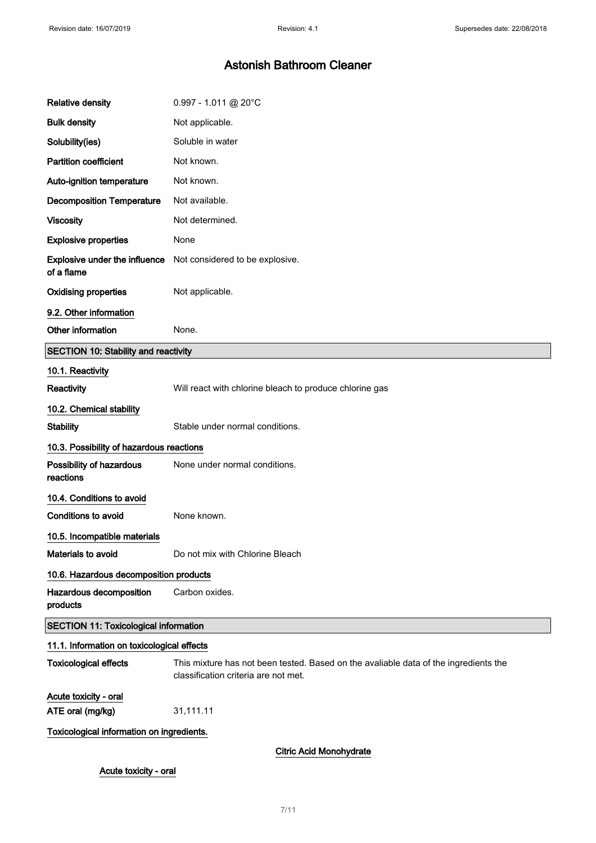| <b>Relative density</b>                            | $0.997 - 1.011$ @ 20°C                                                                                                       |  |
|----------------------------------------------------|------------------------------------------------------------------------------------------------------------------------------|--|
| <b>Bulk density</b>                                | Not applicable.                                                                                                              |  |
| Solubility(ies)                                    | Soluble in water                                                                                                             |  |
| <b>Partition coefficient</b>                       | Not known.                                                                                                                   |  |
| Auto-ignition temperature                          | Not known.                                                                                                                   |  |
| <b>Decomposition Temperature</b>                   | Not available.                                                                                                               |  |
| <b>Viscosity</b>                                   | Not determined.                                                                                                              |  |
| <b>Explosive properties</b>                        | None                                                                                                                         |  |
| <b>Explosive under the influence</b><br>of a flame | Not considered to be explosive.                                                                                              |  |
| <b>Oxidising properties</b>                        | Not applicable.                                                                                                              |  |
| 9.2. Other information                             |                                                                                                                              |  |
| Other information                                  | None.                                                                                                                        |  |
| <b>SECTION 10: Stability and reactivity</b>        |                                                                                                                              |  |
| 10.1. Reactivity                                   |                                                                                                                              |  |
| Reactivity                                         | Will react with chlorine bleach to produce chlorine gas                                                                      |  |
| 10.2. Chemical stability                           |                                                                                                                              |  |
| <b>Stability</b>                                   | Stable under normal conditions.                                                                                              |  |
| 10.3. Possibility of hazardous reactions           |                                                                                                                              |  |
| Possibility of hazardous<br>reactions              | None under normal conditions.                                                                                                |  |
| 10.4. Conditions to avoid                          |                                                                                                                              |  |
| <b>Conditions to avoid</b>                         | None known.                                                                                                                  |  |
| 10.5. Incompatible materials                       |                                                                                                                              |  |
| Materials to avoid                                 | Do not mix with Chlorine Bleach                                                                                              |  |
| 10.6. Hazardous decomposition products             |                                                                                                                              |  |
| Hazardous decomposition<br>products                | Carbon oxides.                                                                                                               |  |
| <b>SECTION 11: Toxicological information</b>       |                                                                                                                              |  |
| 11.1. Information on toxicological effects         |                                                                                                                              |  |
| <b>Toxicological effects</b>                       | This mixture has not been tested. Based on the avaliable data of the ingredients the<br>classification criteria are not met. |  |
| Acute toxicity - oral                              |                                                                                                                              |  |
| ATE oral (mg/kg)                                   | 31,111.11                                                                                                                    |  |
| Toxicological information on ingredients.          |                                                                                                                              |  |
| <b>Citric Acid Monohydrate</b>                     |                                                                                                                              |  |
| Acute toxicity - oral                              |                                                                                                                              |  |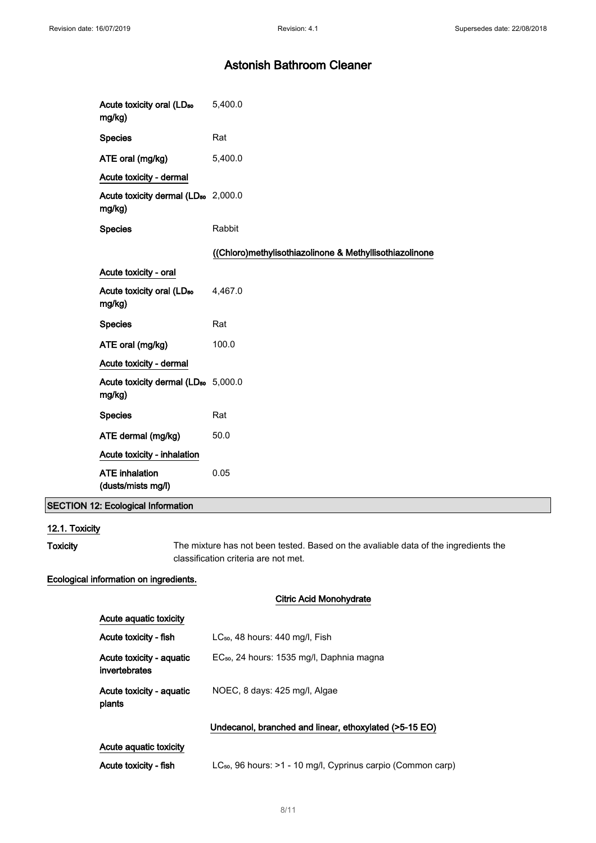| Acute toxicity oral (LD <sub>50</sub><br>mg/kg)           | 5,400.0                                                 |
|-----------------------------------------------------------|---------------------------------------------------------|
| <b>Species</b>                                            | Rat                                                     |
| ATE oral (mg/kg)                                          | 5,400.0                                                 |
| Acute toxicity - dermal                                   |                                                         |
| Acute toxicity dermal (LD <sub>50</sub> 2,000.0<br>mg/kg) |                                                         |
| <b>Species</b>                                            | Rabbit                                                  |
|                                                           | ((Chloro)methylisothiazolinone & Methyllisothiazolinone |
| Acute toxicity - oral                                     |                                                         |
| Acute toxicity oral (LD <sub>50</sub><br>mg/kg)           | 4,467.0                                                 |
| <b>Species</b>                                            | Rat                                                     |
| ATE oral (mg/kg)                                          | 100.0                                                   |
| Acute toxicity - dermal                                   |                                                         |
| Acute toxicity dermal (LD <sub>50</sub> 5,000.0<br>mg/kg) |                                                         |
| <b>Species</b>                                            | Rat                                                     |
| ATE dermal (mg/kg)                                        | 50.0                                                    |
| Acute toxicity - inhalation                               |                                                         |
| <b>ATE</b> inhalation<br>(dusts/mists mg/l)               | 0.05                                                    |

## SECTION 12: Ecological Information

## 12.1. Toxicity

Toxicity The mixture has not been tested. Based on the avaliable data of the ingredients the classification criteria are not met.

## Ecological information on ingredients.

## Citric Acid Monohydrate

| Acute aguatic toxicity                    |                                                        |
|-------------------------------------------|--------------------------------------------------------|
| Acute toxicity - fish                     | $LC_{50}$ , 48 hours: 440 mg/l, Fish                   |
| Acute toxicity - aquatic<br>invertebrates | EC <sub>50</sub> , 24 hours: 1535 mg/l, Daphnia magna  |
| Acute toxicity - aquatic<br>plants        | NOEC, 8 days: 425 mg/l, Algae                          |
|                                           | Undecanol, branched and linear, ethoxylated (>5-15 EO) |

## Acute aquatic toxicity

| Acute toxicity - fish |  | LC <sub>50</sub> , 96 hours: >1 - 10 mg/l, Cyprinus carpio (Common carp) |  |  |  |  |  |
|-----------------------|--|--------------------------------------------------------------------------|--|--|--|--|--|
|-----------------------|--|--------------------------------------------------------------------------|--|--|--|--|--|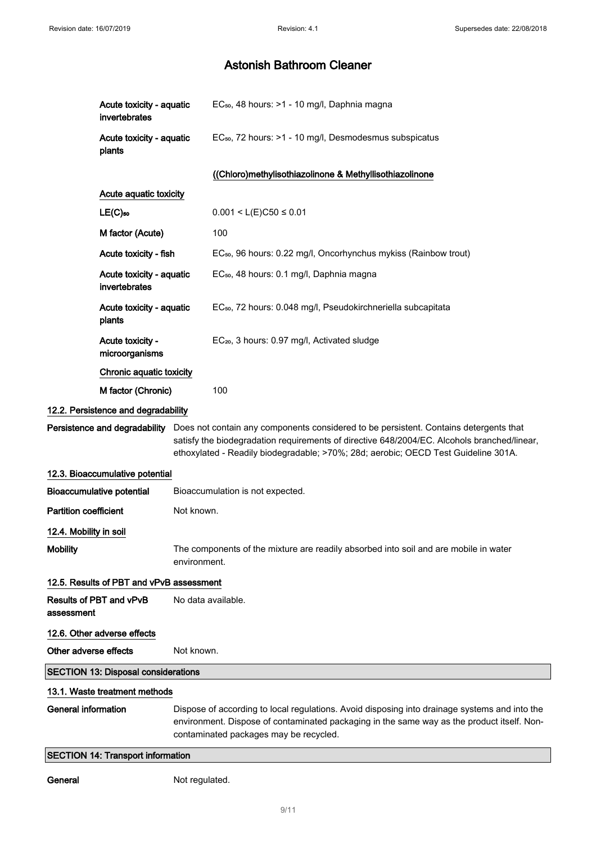| Acute toxicity - aquatic<br>invertebrates  | EC <sub>50</sub> , 48 hours: >1 - 10 mg/l, Daphnia magna                                                                                                                                                                                                                                                 |  |
|--------------------------------------------|----------------------------------------------------------------------------------------------------------------------------------------------------------------------------------------------------------------------------------------------------------------------------------------------------------|--|
| Acute toxicity - aquatic<br>plants         | EC <sub>50</sub> , 72 hours: >1 - 10 mg/l, Desmodesmus subspicatus                                                                                                                                                                                                                                       |  |
|                                            | ((Chloro)methylisothiazolinone & Methyllisothiazolinone                                                                                                                                                                                                                                                  |  |
| Acute aquatic toxicity                     |                                                                                                                                                                                                                                                                                                          |  |
| $LE(C)$ 50                                 | $0.001 < L(E)C50 \le 0.01$                                                                                                                                                                                                                                                                               |  |
| M factor (Acute)                           | 100                                                                                                                                                                                                                                                                                                      |  |
| Acute toxicity - fish                      | EC <sub>50</sub> , 96 hours: 0.22 mg/l, Oncorhynchus mykiss (Rainbow trout)                                                                                                                                                                                                                              |  |
| Acute toxicity - aquatic<br>invertebrates  | EC <sub>50</sub> , 48 hours: 0.1 mg/l, Daphnia magna                                                                                                                                                                                                                                                     |  |
| Acute toxicity - aquatic<br>plants         | EC <sub>50</sub> , 72 hours: 0.048 mg/l, Pseudokirchneriella subcapitata                                                                                                                                                                                                                                 |  |
| Acute toxicity -<br>microorganisms         | EC <sub>20</sub> , 3 hours: 0.97 mg/l, Activated sludge                                                                                                                                                                                                                                                  |  |
| Chronic aquatic toxicity                   |                                                                                                                                                                                                                                                                                                          |  |
| M factor (Chronic)                         | 100                                                                                                                                                                                                                                                                                                      |  |
| 12.2. Persistence and degradability        |                                                                                                                                                                                                                                                                                                          |  |
|                                            | Persistence and degradability Does not contain any components considered to be persistent. Contains detergents that<br>satisfy the biodegradation requirements of directive 648/2004/EC. Alcohols branched/linear,<br>ethoxylated - Readily biodegradable; >70%; 28d; aerobic; OECD Test Guideline 301A. |  |
| 12.3. Bioaccumulative potential            |                                                                                                                                                                                                                                                                                                          |  |
| <b>Bioaccumulative potential</b>           | Bioaccumulation is not expected.                                                                                                                                                                                                                                                                         |  |
| <b>Partition coefficient</b>               | Not known.                                                                                                                                                                                                                                                                                               |  |
| 12.4. Mobility in soil                     |                                                                                                                                                                                                                                                                                                          |  |
| <b>Mobility</b>                            | The components of the mixture are readily absorbed into soil and are mobile in water<br>environment.                                                                                                                                                                                                     |  |
| 12.5. Results of PBT and vPvB assessment   |                                                                                                                                                                                                                                                                                                          |  |
| Results of PBT and vPvB<br>assessment      | No data available.                                                                                                                                                                                                                                                                                       |  |
| 12.6. Other adverse effects                |                                                                                                                                                                                                                                                                                                          |  |
| Other adverse effects                      | Not known.                                                                                                                                                                                                                                                                                               |  |
| <b>SECTION 13: Disposal considerations</b> |                                                                                                                                                                                                                                                                                                          |  |
| 13.1. Waste treatment methods              |                                                                                                                                                                                                                                                                                                          |  |
| <b>General information</b>                 | Dispose of according to local regulations. Avoid disposing into drainage systems and into the<br>environment. Dispose of contaminated packaging in the same way as the product itself. Non-<br>contaminated packages may be recycled.                                                                    |  |
| <b>SECTION 14: Transport information</b>   |                                                                                                                                                                                                                                                                                                          |  |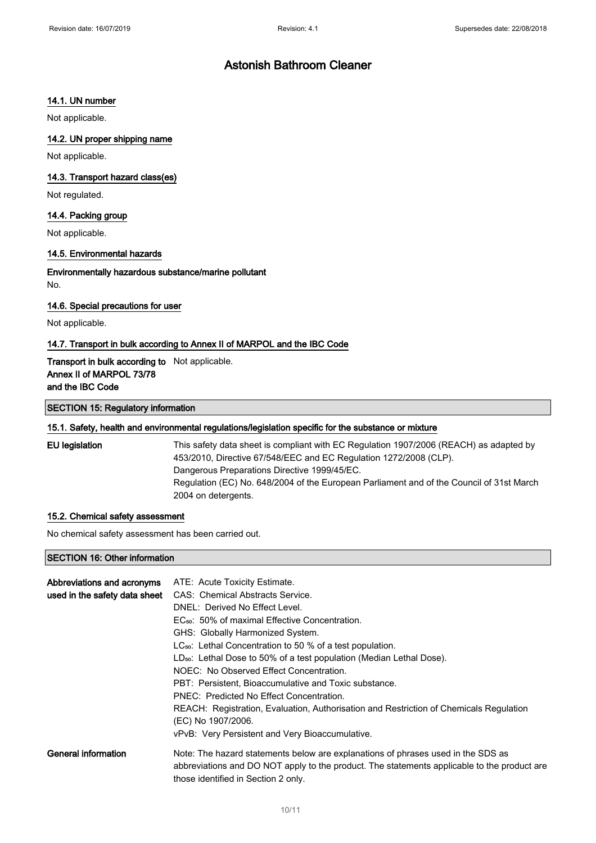## 14.1. UN number

Not applicable.

## 14.2. UN proper shipping name

Not applicable.

#### 14.3. Transport hazard class(es)

Not regulated.

## 14.4. Packing group

Not applicable.

## 14.5. Environmental hazards

Environmentally hazardous substance/marine pollutant No.

#### 14.6. Special precautions for user

Not applicable.

#### 14.7. Transport in bulk according to Annex II of MARPOL and the IBC Code

Transport in bulk according to Not applicable. Annex II of MARPOL 73/78 and the IBC Code

#### SECTION 15: Regulatory information

#### 15.1. Safety, health and environmental regulations/legislation specific for the substance or mixture

EU legislation This safety data sheet is compliant with EC Regulation 1907/2006 (REACH) as adapted by 453/2010, Directive 67/548/EEC and EC Regulation 1272/2008 (CLP). Dangerous Preparations Directive 1999/45/EC. Regulation (EC) No. 648/2004 of the European Parliament and of the Council of 31st March 2004 on detergents.

#### 15.2. Chemical safety assessment

No chemical safety assessment has been carried out.

## SECTION 16: Other information

| Abbreviations and acronyms<br>used in the safety data sheet | ATE: Acute Toxicity Estimate.<br>CAS: Chemical Abstracts Service.<br>DNEL: Derived No Effect Level.<br>EC <sub>50</sub> : 50% of maximal Effective Concentration.<br>GHS: Globally Harmonized System.<br>$LC_{50}$ : Lethal Concentration to 50 % of a test population.<br>LD <sub>50</sub> : Lethal Dose to 50% of a test population (Median Lethal Dose).<br>NOEC: No Observed Effect Concentration.<br>PBT: Persistent. Bioaccumulative and Toxic substance.<br>PNEC: Predicted No Effect Concentration.<br>REACH: Registration, Evaluation, Authorisation and Restriction of Chemicals Regulation<br>(EC) No 1907/2006.<br>vPvB: Very Persistent and Very Bioaccumulative. |
|-------------------------------------------------------------|--------------------------------------------------------------------------------------------------------------------------------------------------------------------------------------------------------------------------------------------------------------------------------------------------------------------------------------------------------------------------------------------------------------------------------------------------------------------------------------------------------------------------------------------------------------------------------------------------------------------------------------------------------------------------------|
| General information                                         | Note: The hazard statements below are explanations of phrases used in the SDS as<br>abbreviations and DO NOT apply to the product. The statements applicable to the product are<br>those identified in Section 2 only.                                                                                                                                                                                                                                                                                                                                                                                                                                                         |